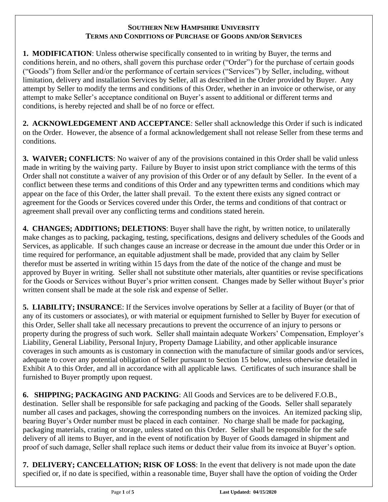#### **SOUTHERN NEW HAMPSHIRE UNIVERSITY TERMS AND CONDITIONS OF PURCHASE OF GOODS AND/OR SERVICES**

**1. MODIFICATION**: Unless otherwise specifically consented to in writing by Buyer, the terms and conditions herein, and no others, shall govern this purchase order ("Order") for the purchase of certain goods ("Goods") from Seller and/or the performance of certain services ("Services") by Seller, including, without limitation, delivery and installation Services by Seller, all as described in the Order provided by Buyer. Any attempt by Seller to modify the terms and conditions of this Order, whether in an invoice or otherwise, or any attempt to make Seller's acceptance conditional on Buyer's assent to additional or different terms and conditions, is hereby rejected and shall be of no force or effect.

**2. ACKNOWLEDGEMENT AND ACCEPTANCE**: Seller shall acknowledge this Order if such is indicated on the Order. However, the absence of a formal acknowledgement shall not release Seller from these terms and conditions.

**3. WAIVER; CONFLICTS**: No waiver of any of the provisions contained in this Order shall be valid unless made in writing by the waiving party. Failure by Buyer to insist upon strict compliance with the terms of this Order shall not constitute a waiver of any provision of this Order or of any default by Seller. In the event of a conflict between these terms and conditions of this Order and any typewritten terms and conditions which may appear on the face of this Order, the latter shall prevail. To the extent there exists any signed contract or agreement for the Goods or Services covered under this Order, the terms and conditions of that contract or agreement shall prevail over any conflicting terms and conditions stated herein.

**4. CHANGES; ADDITIONS; DELETIONS**: Buyer shall have the right, by written notice, to unilaterally make changes as to packing, packaging, testing, specifications, designs and delivery schedules of the Goods and Services, as applicable. If such changes cause an increase or decrease in the amount due under this Order or in time required for performance, an equitable adjustment shall be made, provided that any claim by Seller therefor must be asserted in writing within 15 days from the date of the notice of the change and must be approved by Buyer in writing. Seller shall not substitute other materials, alter quantities or revise specifications for the Goods or Services without Buyer's prior written consent. Changes made by Seller without Buyer's prior written consent shall be made at the sole risk and expense of Seller.

**5. LIABILITY; INSURANCE**: If the Services involve operations by Seller at a facility of Buyer (or that of any of its customers or associates), or with material or equipment furnished to Seller by Buyer for execution of this Order, Seller shall take all necessary precautions to prevent the occurrence of an injury to persons or property during the progress of such work. Seller shall maintain adequate Workers' Compensation, Employer's Liability, General Liability, Personal Injury, Property Damage Liability, and other applicable insurance coverages in such amounts as is customary in connection with the manufacture of similar goods and/or services, adequate to cover any potential obligation of Seller pursuant to Section 15 below, unless otherwise detailed in Exhibit A to this Order, and all in accordance with all applicable laws. Certificates of such insurance shall be furnished to Buyer promptly upon request.

**6. SHIPPING; PACKAGING AND PACKING**: All Goods and Services are to be delivered F.O.B., destination. Seller shall be responsible for safe packaging and packing of the Goods. Seller shall separately number all cases and packages, showing the corresponding numbers on the invoices. An itemized packing slip, bearing Buyer's Order number must be placed in each container. No charge shall be made for packaging, packaging materials, crating or storage, unless stated on this Order. Seller shall be responsible for the safe delivery of all items to Buyer, and in the event of notification by Buyer of Goods damaged in shipment and proof of such damage, Seller shall replace such items or deduct their value from its invoice at Buyer's option.

**7. DELIVERY; CANCELLATION; RISK OF LOSS**: In the event that delivery is not made upon the date specified or, if no date is specified, within a reasonable time, Buyer shall have the option of voiding the Order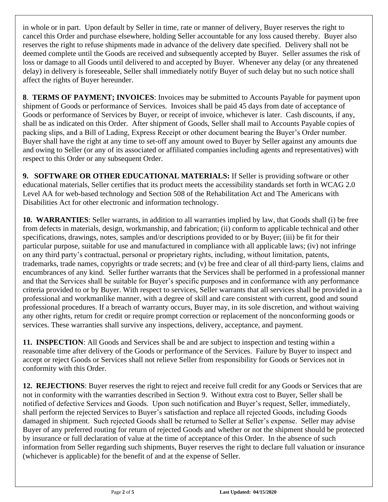in whole or in part. Upon default by Seller in time, rate or manner of delivery, Buyer reserves the right to cancel this Order and purchase elsewhere, holding Seller accountable for any loss caused thereby. Buyer also reserves the right to refuse shipments made in advance of the delivery date specified. Delivery shall not be deemed complete until the Goods are received and subsequently accepted by Buyer. Seller assumes the risk of loss or damage to all Goods until delivered to and accepted by Buyer. Whenever any delay (or any threatened delay) in delivery is foreseeable, Seller shall immediately notify Buyer of such delay but no such notice shall affect the rights of Buyer hereunder.

**8**. **TERMS OF PAYMENT; INVOICES**: Invoices may be submitted to Accounts Payable for payment upon shipment of Goods or performance of Services. Invoices shall be paid 45 days from date of acceptance of Goods or performance of Services by Buyer, or receipt of invoice, whichever is later. Cash discounts, if any, shall be as indicated on this Order. After shipment of Goods, Seller shall mail to Accounts Payable copies of packing slips, and a Bill of Lading, Express Receipt or other document bearing the Buyer's Order number. Buyer shall have the right at any time to set-off any amount owed to Buyer by Seller against any amounts due and owing to Seller (or any of its associated or affiliated companies including agents and representatives) with respect to this Order or any subsequent Order.

**9. SOFTWARE OR OTHER EDUCATIONAL MATERIALS:** If Seller is providing software or other educational materials, Seller certifies that its product meets the accessibility standards set forth in WCAG 2.0 Level AA for web-based technology and Section 508 of the Rehabilitation Act and The Americans with Disabilities Act for other electronic and information technology.

**10. WARRANTIES**: Seller warrants, in addition to all warranties implied by law, that Goods shall (i) be free from defects in materials, design, workmanship, and fabrication; (ii) conform to applicable technical and other specifications, drawings, notes, samples and/or descriptions provided to or by Buyer; (iii) be fit for their particular purpose, suitable for use and manufactured in compliance with all applicable laws; (iv) not infringe on any third party's contractual, personal or proprietary rights, including, without limitation, patents, trademarks, trade names, copyrights or trade secrets; and (v) be free and clear of all third-party liens, claims and encumbrances of any kind. Seller further warrants that the Services shall be performed in a professional manner and that the Services shall be suitable for Buyer's specific purposes and in conformance with any performance criteria provided to or by Buyer. With respect to services, Seller warrants that all services shall be provided in a professional and workmanlike manner, with a degree of skill and care consistent with current, good and sound professional procedures. If a breach of warranty occurs, Buyer may, in its sole discretion, and without waiving any other rights, return for credit or require prompt correction or replacement of the nonconforming goods or services. These warranties shall survive any inspections, delivery, acceptance, and payment.

**11. INSPECTION**: All Goods and Services shall be and are subject to inspection and testing within a reasonable time after delivery of the Goods or performance of the Services. Failure by Buyer to inspect and accept or reject Goods or Services shall not relieve Seller from responsibility for Goods or Services not in conformity with this Order.

**12. REJECTIONS**: Buyer reserves the right to reject and receive full credit for any Goods or Services that are not in conformity with the warranties described in Section 9. Without extra cost to Buyer, Seller shall be notified of defective Services and Goods. Upon such notification and Buyer's request, Seller, immediately, shall perform the rejected Services to Buyer's satisfaction and replace all rejected Goods, including Goods damaged in shipment. Such rejected Goods shall be returned to Seller at Seller's expense. Seller may advise Buyer of any preferred routing for return of rejected Goods and whether or not the shipment should be protected by insurance or full declaration of value at the time of acceptance of this Order. In the absence of such information from Seller regarding such shipments, Buyer reserves the right to declare full valuation or insurance (whichever is applicable) for the benefit of and at the expense of Seller.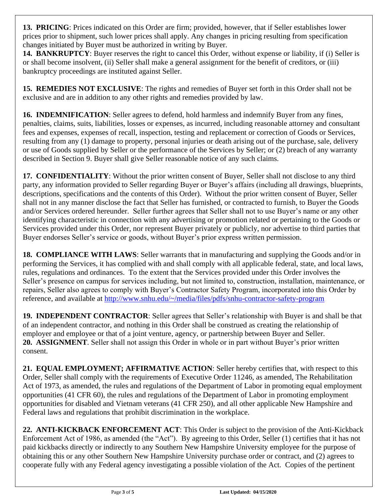**13. PRICING**: Prices indicated on this Order are firm; provided, however, that if Seller establishes lower prices prior to shipment, such lower prices shall apply. Any changes in pricing resulting from specification changes initiated by Buyer must be authorized in writing by Buyer.

**14. BANKRUPTCY**: Buyer reserves the right to cancel this Order, without expense or liability, if (i) Seller is or shall become insolvent, (ii) Seller shall make a general assignment for the benefit of creditors, or (iii) bankruptcy proceedings are instituted against Seller.

**15. REMEDIES NOT EXCLUSIVE**: The rights and remedies of Buyer set forth in this Order shall not be exclusive and are in addition to any other rights and remedies provided by law.

**16. INDEMNIFICATION**: Seller agrees to defend, hold harmless and indemnify Buyer from any fines, penalties, claims, suits, liabilities, losses or expenses, as incurred, including reasonable attorney and consultant fees and expenses, expenses of recall, inspection, testing and replacement or correction of Goods or Services, resulting from any (1) damage to property, personal injuries or death arising out of the purchase, sale, delivery or use of Goods supplied by Seller or the performance of the Services by Seller; or (2) breach of any warranty described in Section 9. Buyer shall give Seller reasonable notice of any such claims.

**17. CONFIDENTIALITY**: Without the prior written consent of Buyer, Seller shall not disclose to any third party, any information provided to Seller regarding Buyer or Buyer's affairs (including all drawings, blueprints, descriptions, specifications and the contents of this Order). Without the prior written consent of Buyer, Seller shall not in any manner disclose the fact that Seller has furnished, or contracted to furnish, to Buyer the Goods and/or Services ordered hereunder. Seller further agrees that Seller shall not to use Buyer's name or any other identifying characteristic in connection with any advertising or promotion related or pertaining to the Goods or Services provided under this Order, nor represent Buyer privately or publicly, nor advertise to third parties that Buyer endorses Seller's service or goods, without Buyer's prior express written permission.

**18. COMPLIANCE WITH LAWS**: Seller warrants that in manufacturing and supplying the Goods and/or in performing the Services, it has complied with and shall comply with all applicable federal, state, and local laws, rules, regulations and ordinances. To the extent that the Services provided under this Order involves the Seller's presence on campus for services including, but not limited to, construction, installation, maintenance, or repairs, Seller also agrees to comply with Buyer's Contractor Safety Program, incorporated into this Order by reference, and available at <http://www.snhu.edu/~/media/files/pdfs/snhu-contractor-safety-program>

**19. INDEPENDENT CONTRACTOR**: Seller agrees that Seller's relationship with Buyer is and shall be that of an independent contractor, and nothing in this Order shall be construed as creating the relationship of employer and employee or that of a joint venture, agency, or partnership between Buyer and Seller. **20. ASSIGNMENT**. Seller shall not assign this Order in whole or in part without Buyer's prior written consent.

**21. EQUAL EMPLOYMENT; AFFIRMATIVE ACTION**: Seller hereby certifies that, with respect to this Order, Seller shall comply with the requirements of Executive Order 11246, as amended, The Rehabilitation Act of 1973, as amended, the rules and regulations of the Department of Labor in promoting equal employment opportunities (41 CFR 60), the rules and regulations of the Department of Labor in promoting employment opportunities for disabled and Vietnam veterans (41 CFR 250), and all other applicable New Hampshire and Federal laws and regulations that prohibit discrimination in the workplace.

**22. ANTI-KICKBACK ENFORCEMENT ACT**: This Order is subject to the provision of the Anti-Kickback Enforcement Act of 1986, as amended (the "Act"). By agreeing to this Order, Seller (1) certifies that it has not paid kickbacks directly or indirectly to any Southern New Hampshire University employee for the purpose of obtaining this or any other Southern New Hampshire University purchase order or contract, and (2) agrees to cooperate fully with any Federal agency investigating a possible violation of the Act. Copies of the pertinent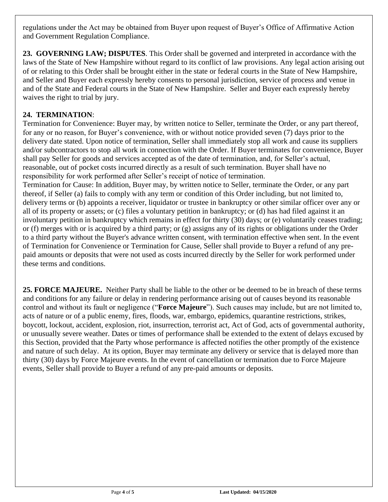regulations under the Act may be obtained from Buyer upon request of Buyer's Office of Affirmative Action and Government Regulation Compliance.

**23. GOVERNING LAW; DISPUTES**. This Order shall be governed and interpreted in accordance with the laws of the State of New Hampshire without regard to its conflict of law provisions. Any legal action arising out of or relating to this Order shall be brought either in the state or federal courts in the State of New Hampshire, and Seller and Buyer each expressly hereby consents to personal jurisdiction, service of process and venue in and of the State and Federal courts in the State of New Hampshire. Seller and Buyer each expressly hereby waives the right to trial by jury.

# **24. TERMINATION**:

Termination for Convenience: Buyer may, by written notice to Seller, terminate the Order, or any part thereof, for any or no reason, for Buyer's convenience, with or without notice provided seven (7) days prior to the delivery date stated. Upon notice of termination, Seller shall immediately stop all work and cause its suppliers and/or subcontractors to stop all work in connection with the Order. If Buyer terminates for convenience, Buyer shall pay Seller for goods and services accepted as of the date of termination, and, for Seller's actual, reasonable, out of pocket costs incurred directly as a result of such termination. Buyer shall have no responsibility for work performed after Seller's receipt of notice of termination.

Termination for Cause: In addition, Buyer may, by written notice to Seller, terminate the Order, or any part thereof, if Seller (a) fails to comply with any term or condition of this Order including, but not limited to, delivery terms or (b) appoints a receiver, liquidator or trustee in bankruptcy or other similar officer over any or all of its property or assets; or (c) files a voluntary petition in bankruptcy; or (d) has had filed against it an involuntary petition in bankruptcy which remains in effect for thirty (30) days; or (e) voluntarily ceases trading; or (f) merges with or is acquired by a third party; or (g) assigns any of its rights or obligations under the Order to a third party without the Buyer's advance written consent, with termination effective when sent. In the event of Termination for Convenience or Termination for Cause, Seller shall provide to Buyer a refund of any prepaid amounts or deposits that were not used as costs incurred directly by the Seller for work performed under these terms and conditions.

**25. FORCE MAJEURE.** Neither Party shall be liable to the other or be deemed to be in breach of these terms and conditions for any failure or delay in rendering performance arising out of causes beyond its reasonable control and without its fault or negligence ("**Force Majeure**"). Such causes may include, but are not limited to, acts of nature or of a public enemy, fires, floods, war, embargo, epidemics, quarantine restrictions, strikes, boycott, lockout, accident, explosion, riot, insurrection, terrorist act, Act of God, acts of governmental authority, or unusually severe weather. Dates or times of performance shall be extended to the extent of delays excused by this Section, provided that the Party whose performance is affected notifies the other promptly of the existence and nature of such delay. At its option, Buyer may terminate any delivery or service that is delayed more than thirty (30) days by Force Majeure events. In the event of cancellation or termination due to Force Majeure events, Seller shall provide to Buyer a refund of any pre-paid amounts or deposits.